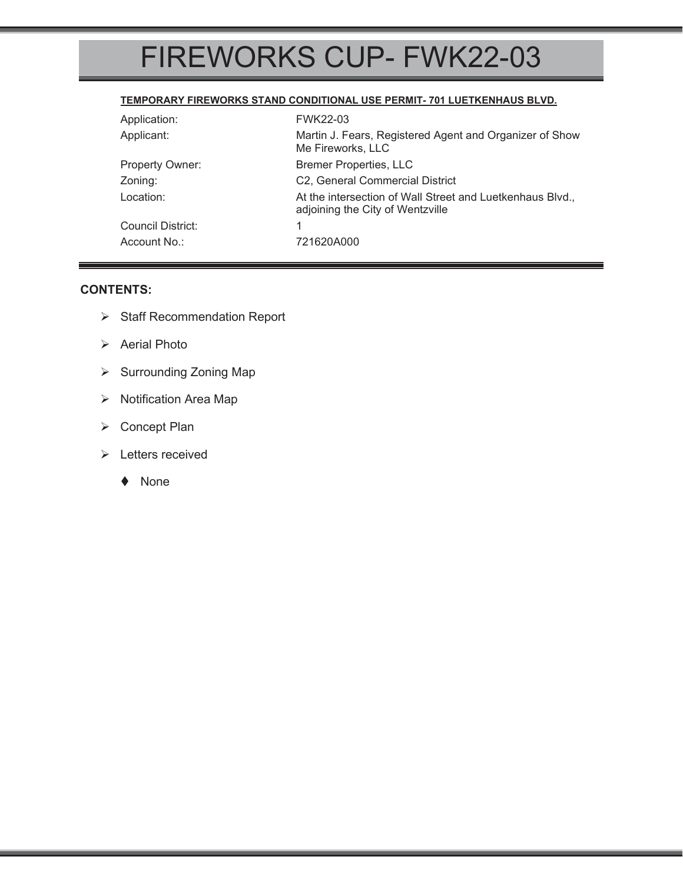# FIREWORKS CUP- FWK22-03

#### **TEMPORARY FIREWORKS STAND CONDITIONAL USE PERMIT- 701 LUETKENHAUS BLVD.**

| Application:      | <b>FWK22-03</b>                                                                               |  |
|-------------------|-----------------------------------------------------------------------------------------------|--|
| Applicant:        | Martin J. Fears, Registered Agent and Organizer of Show<br>Me Fireworks, LLC                  |  |
| Property Owner:   | <b>Bremer Properties, LLC</b>                                                                 |  |
| Zoning:           | C2, General Commercial District                                                               |  |
| Location:         | At the intersection of Wall Street and Luetkenhaus Blvd.,<br>adjoining the City of Wentzville |  |
| Council District: | 1                                                                                             |  |
| Account No.:      | 721620A000                                                                                    |  |

#### **CONTENTS:**

- ¾ Staff Recommendation Report
- ¾ Aerial Photo
- ▶ Surrounding Zoning Map
- ¾ Notification Area Map
- ¾ Concept Plan
- ¾ Letters received
	- ◆ None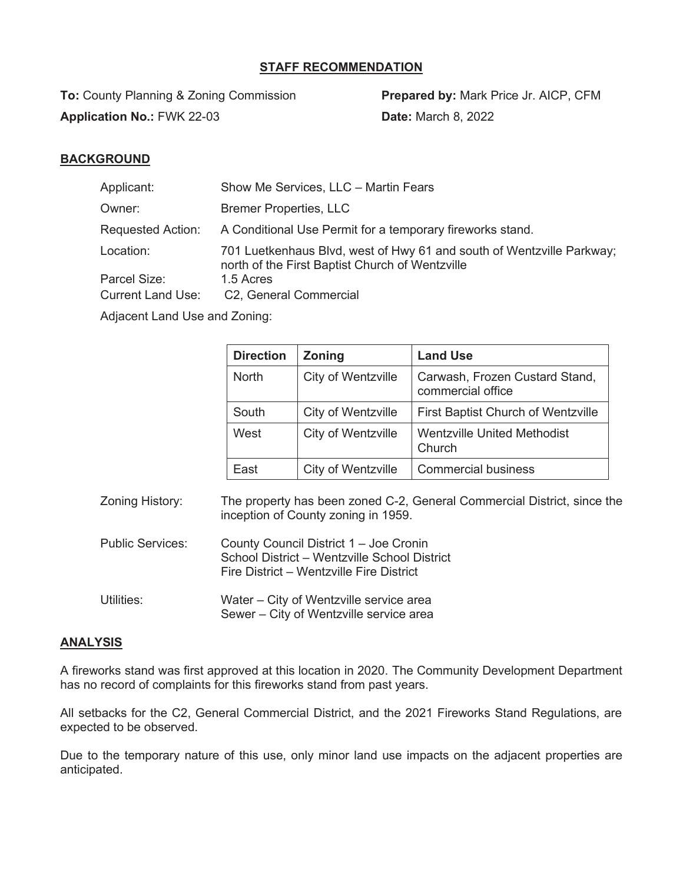### **STAFF RECOMMENDATION**

**To:** County Planning & Zoning Commission **Prepared by:** Mark Price Jr. AICP, CFM **Application No.:** FWK 22-03 **Date:** March 8, 2022

### **BACKGROUND**

| Applicant:               | Show Me Services, LLC - Martin Fears                                                                                     |
|--------------------------|--------------------------------------------------------------------------------------------------------------------------|
| Owner:                   | <b>Bremer Properties, LLC</b>                                                                                            |
| <b>Requested Action:</b> | A Conditional Use Permit for a temporary fireworks stand.                                                                |
| Location:                | 701 Luetkenhaus Blvd, west of Hwy 61 and south of Wentzville Parkway;<br>north of the First Baptist Church of Wentzville |
| Parcel Size:             | 1.5 Acres                                                                                                                |
| <b>Current Land Use:</b> | C2, General Commercial                                                                                                   |

Adjacent Land Use and Zoning:

| <b>Direction</b> | <b>Zoning</b>      | <b>Land Use</b>                                     |
|------------------|--------------------|-----------------------------------------------------|
| <b>North</b>     | City of Wentzville | Carwash, Frozen Custard Stand,<br>commercial office |
| South            | City of Wentzville | <b>First Baptist Church of Wentzville</b>           |
| West             | City of Wentzville | <b>Wentzville United Methodist</b><br>Church        |
| East             | City of Wentzville | <b>Commercial business</b>                          |

Zoning History: The property has been zoned C-2, General Commercial District, since the inception of County zoning in 1959.

- Public Services: County Council District 1 Joe Cronin School District – Wentzville School District Fire District – Wentzville Fire District
- Utilities: Water City of Wentzville service area Sewer – City of Wentzville service area

#### **ANALYSIS**

A fireworks stand was first approved at this location in 2020. The Community Development Department has no record of complaints for this fireworks stand from past years.

All setbacks for the C2, General Commercial District, and the 2021 Fireworks Stand Regulations, are expected to be observed.

Due to the temporary nature of this use, only minor land use impacts on the adjacent properties are anticipated.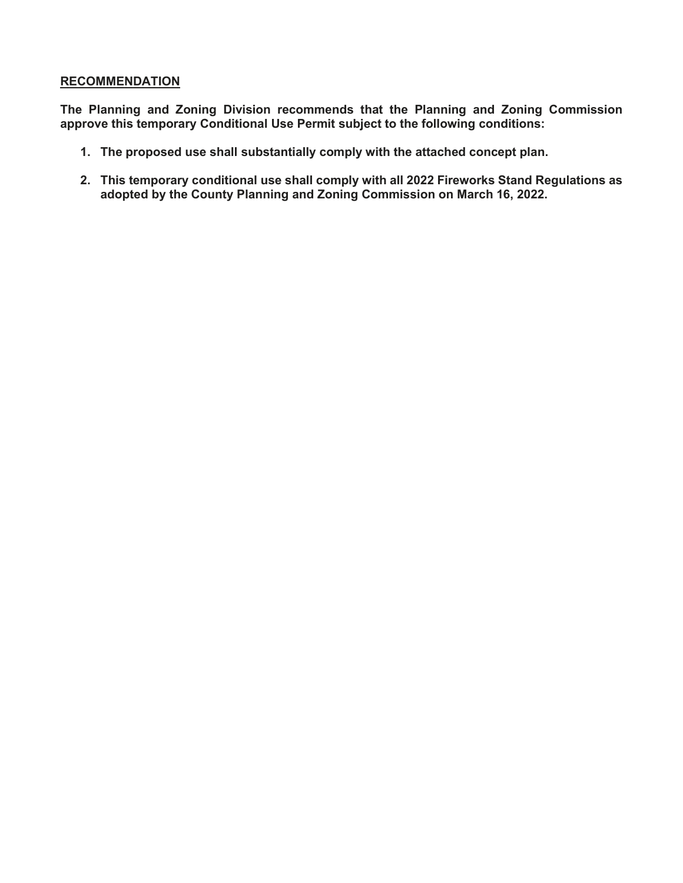#### **RECOMMENDATION**

**The Planning and Zoning Division recommends that the Planning and Zoning Commission approve this temporary Conditional Use Permit subject to the following conditions:** 

- **1. The proposed use shall substantially comply with the attached concept plan.**
- **2. This temporary conditional use shall comply with all 2022 Fireworks Stand Regulations as adopted by the County Planning and Zoning Commission on March 16, 2022.**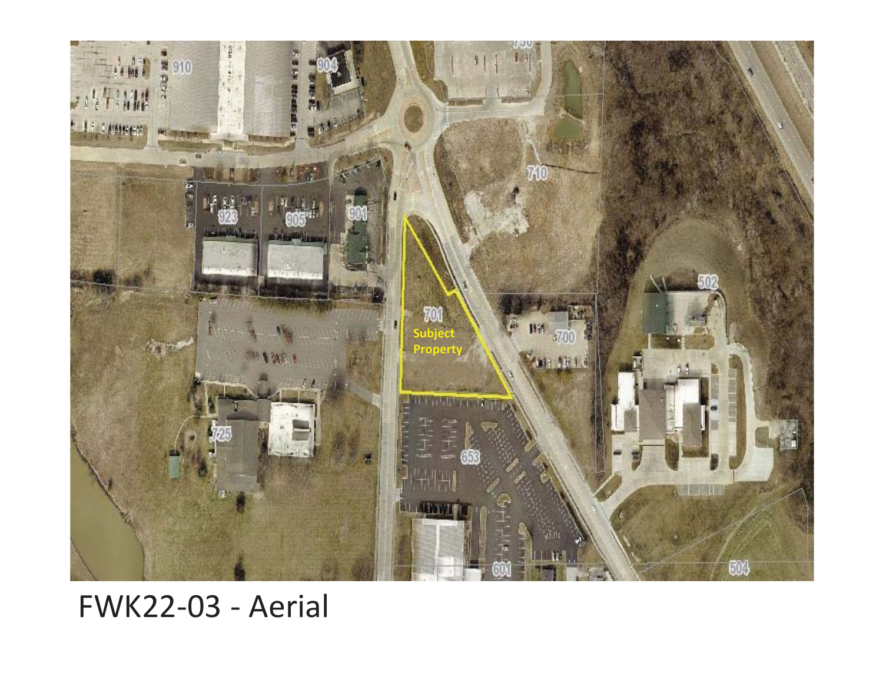

# FWK22-03 - Aerial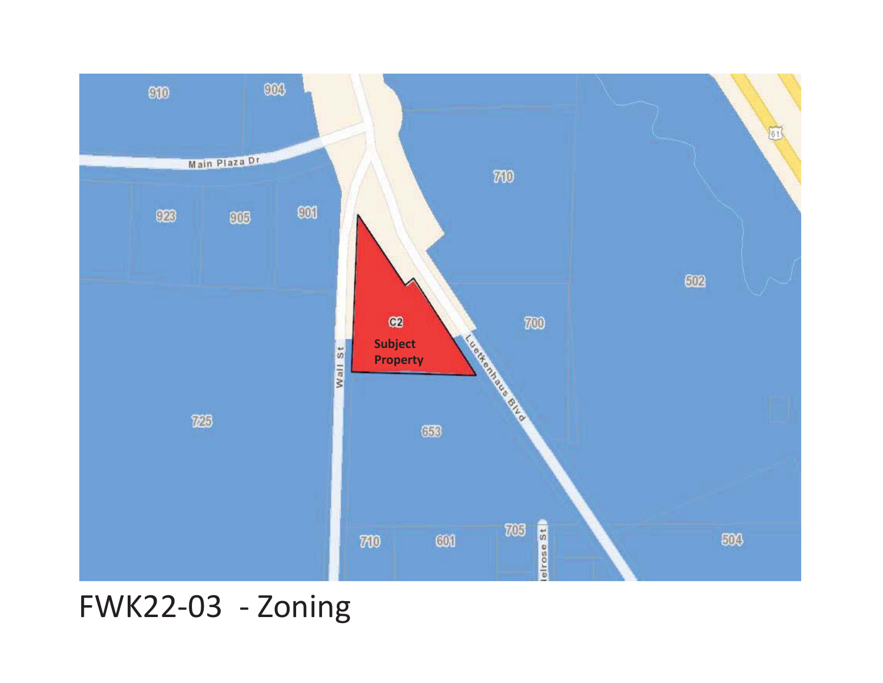

FWK22-03 - Zoning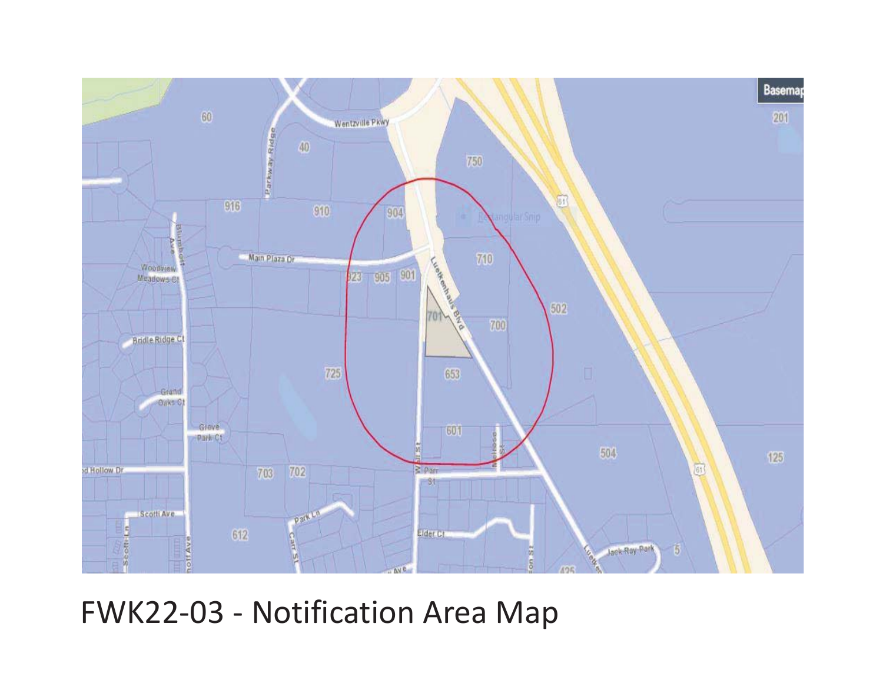

# FWK22-03 - Notification Area Map